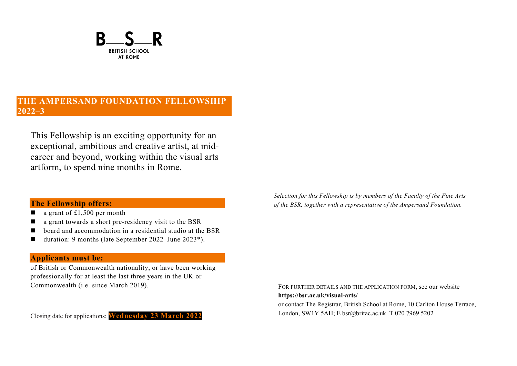

# **THE AMPERSAND FOUNDATION FELLOWSHIP 2022–3**

This Fellowship is an exciting opportunity for an exceptional, ambitious and creative artist, at midcareer and beyond, working within the visual arts artform, to spend nine months in Rome.

## **The Fellowship offers:**

- $\Box$  a grant of £1,500 per month
- $\blacksquare$  a grant towards a short pre-residency visit to the BSR
- board and accommodation in a residential studio at the BSR
- duration: 9 months (late September 2022–June 2023<sup>\*</sup>).

## **Applicants must be:**

of British or Commonwealth nationality, or have been working professionally for at least the last three years in the UK or Commonwealth (i.e. since March 2019).

Closing date for applications: **Wednesday 23 March 2022**

*Selection for this Fellowship is by members of the Faculty of the Fine Arts of the BSR, together with a representative of the Ampersand Foundation.*

FOR FURTHER DETAILS AND THE APPLICATION FORM, see our website **https://bsr.ac.uk/visual-arts/** or contact The Registrar, British School at Rome, 10 Carlton House Terrace, London, SW1Y 5AH; E bsr@britac.ac.uk T 020 7969 5202